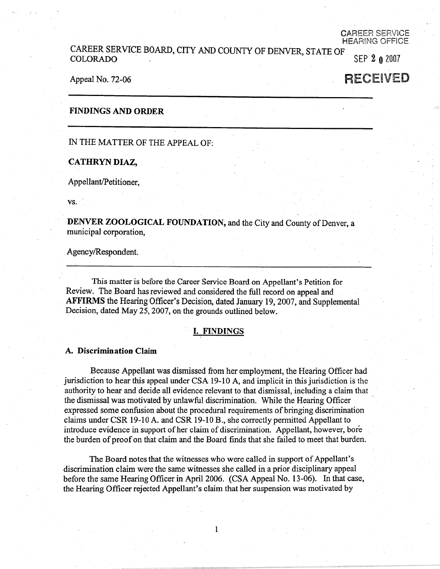#### CAREER SERVICE HEAR!NG OFFICE

## CAREER SERVICE BOARD, CITY AND COUNTY OF DENVER, STATE OF COLORADO . SEP 2 **0** 2007

#### Appeal No. 72-06

# RECEIVED

#### **FINDINGS AND ORDER**

IN THE MATTER OF THE APPEAL OF:

#### **CATHRYN DIAZ,**

Appellant/Petitioner,

**vs.** 

**DENVER ZOOLOGICAL FOUNDATION,** and the City and County of Denver, a municipal corporation,

Agency/Respondent.

This matter is before the Career Service Board on Appellant's Petition for Review. The Board has reviewed and considered the full record on appeal and **AFFIRMS** the Hearing Officer's Decision, dated January 19, 2007, and Supplemental Decision, dated May 25, 2007, on the grounds outlined below.

#### I. **FINDINGS**

#### **A. Discrimination Claim**

Because Appellant was dismissed from her employment, the Hearing Officer had jurisdiction to hear this appeal under CSA 19-10 A, and implicit in this jurisdiction is the authority to hear and decide all evidence relevant to that dismissal, including a claim that the dismissal was motivated by unlawful discrimination. While the Hearing Officer · expressed some confusion about the procedural requirements of bringing discrimination claims under CSR 19-10 A. and CSR 19-10 B., she correctly permitted Appellant to introduce evidence in support of her claim of discrimination. Appellant, however, bore the burden of proof on that claim and the Board finds that she failed to meet that burden.

The Board notes that the witnesses who were called in support of Appellant's discrimination claim were the same witnesses she called in a prior disciplinary appeal before the same Hearing Officer in April 2006. (CSA Appeal No. 13-06). In that case, the Hearing Officer rejected Appellant's claim that her suspension was motivated by

1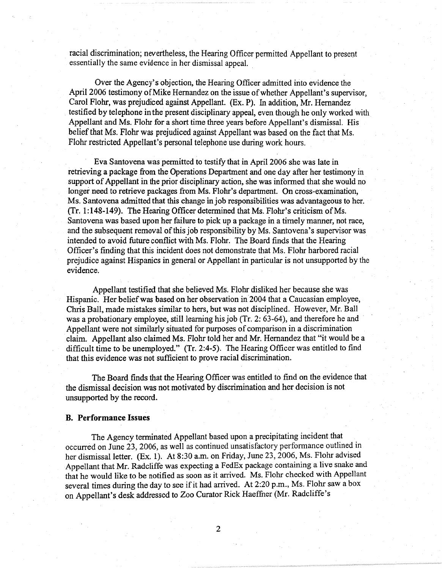racial discrimination; nevertheless, the Hearing Officer permitted Appellant to present essentially the same evidence in her dismissal appeal.

Over the Agency's objection, the Hearing Officer admitted into evidence the April 2006 testimony of Mike Hernandez on the issue of whether Appellant's supervisor, Carol Flohr, was prejudiced against Appellant. (Ex. P). In addition, Mr. Hernandez testified by telephone in the present disciplinary appeal, even though he only worked with Appellant and Ms. Flohr for a short time three years before Appellant's dismissal. His belief that Ms. Flohr was prejudiced against Appellant was based on the fact that Ms. Flohr restricted Appellant's personal telephone use during work hours.

Eva Santovena was permitted to testify that in April 2006 she was late in retrieving a package from the Operations Department and one day after her testimony in support of Appellant in the prior disciplinary action, she was informed that she would no longer need to retrieve packages from Ms. Flohr's department. On cross-examination, Ms. Santovena admitted that this change in job responsibilities was advantageous to her.  $(Tr. 1:148-149)$ . The Hearing Officer determined that Ms. Flohr's criticism of Ms. Santovena was based upon her failure to pick up a package in a timely manner, not race, and the subsequent removal of this job responsibility by Ms. Santovena's supervisor was intended to avoid future conflict with Ms. Flohr. The Board finds that the Hearing Officer's finding that this incident does not demonstrate that Ms. Flohr harbored racial prejudice against Hispanics in general or Appellant in particular is not unsupported by the evidence.

Appellant testified that she believed Ms. Flohr disliked her because she was Hispanic. Her belief was based on her observation in 2004 that a Caucasian employee, Chris Ball, made mistakes similar to hers, but was not disciplined. However, Mr. Ball was a probationary employee, still learning his job (Tr. 2: 63-64), and therefore he and Appellant were not similarly situated for purposes of comparison in a discrimination claim. Appellant also claimed Ms. Flohr told her and Mr. Hernandez that "it would be a difficult time to be unemployed." (Tr. 2:4-5). The Hearing Officer was entitled to find that this evidence was not sufficient to prove racial discrimination.

The Board finds that the Hearing Officer was entitled to find on the evidence that the dismissal decision was not motivated by discrimination and her decision is not unsupported by the record.

### **B. Performance Issues**

The Agency terminated Appellant based upon a precipitating incident that occurred on June 23, 2006, as well as continued unsatisfactory performance outlined in her dismissal letter. (Ex. 1). At 8:30 a.m. on Friday, June 23, 2006, Ms. Flohr advised Appellant that Mr. Radcliffe was expecting a FedEx package containing a live snake and that he would like to be notified as soon as it arrived. Ms. Flohr checked with Appellant several times during the day to see if it had arrived. At 2:20 p.m., Ms. Flohr saw a box on Appellant's desk addressed to Zoo Curator Rick Haeffuer (Mr. Radcliffe's